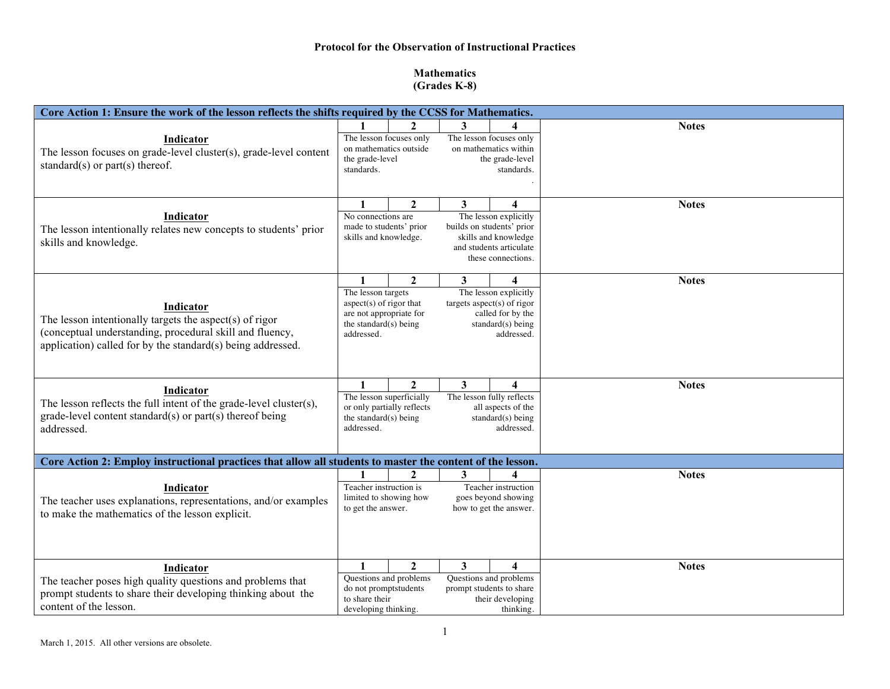## **Protocol for the Observation of Instructional Practices**

## **Mathematics (Grades K-8)**

| Core Action 1: Ensure the work of the lesson reflects the shifts required by the CCSS for Mathematics.                                                                                          |                                                                                                                                                                                                                                                                                     |              |                                                                           |                                                                                                                |              |  |  |  |  |
|-------------------------------------------------------------------------------------------------------------------------------------------------------------------------------------------------|-------------------------------------------------------------------------------------------------------------------------------------------------------------------------------------------------------------------------------------------------------------------------------------|--------------|---------------------------------------------------------------------------|----------------------------------------------------------------------------------------------------------------|--------------|--|--|--|--|
| Indicator<br>The lesson focuses on grade-level cluster(s), grade-level content<br>standard(s) or part(s) thereof.                                                                               | The lesson focuses only<br>on mathematics outside<br>the grade-level<br>standards.                                                                                                                                                                                                  |              |                                                                           | The lesson focuses only<br>on mathematics within<br>the grade-level<br>standards.                              | <b>Notes</b> |  |  |  |  |
| Indicator<br>The lesson intentionally relates new concepts to students' prior<br>skills and knowledge.                                                                                          | $\mathbf{2}$<br>1<br>3<br>$\overline{\mathbf{4}}$<br>No connections are<br>The lesson explicitly<br>made to students' prior<br>builds on students' prior<br>skills and knowledge.<br>skills and knowledge<br>and students articulate<br>these connections.                          |              |                                                                           | <b>Notes</b>                                                                                                   |              |  |  |  |  |
| Indicator<br>The lesson intentionally targets the aspect(s) of rigor<br>(conceptual understanding, procedural skill and fluency,<br>application) called for by the standard(s) being addressed. | $\mathbf{2}$<br>3<br>$\boldsymbol{\Lambda}$<br>The lesson targets<br>The lesson explicitly<br>aspect(s) of rigor that<br>targets aspect(s) of rigor<br>called for by the<br>are not appropriate for<br>the standard $(s)$ being<br>standard $(s)$ being<br>addressed.<br>addressed. |              |                                                                           | <b>Notes</b>                                                                                                   |              |  |  |  |  |
| Indicator<br>The lesson reflects the full intent of the grade-level cluster(s),<br>grade-level content standard(s) or part(s) thereof being<br>addressed.                                       | $\mathbf{2}$<br>3<br>$\boldsymbol{4}$<br>The lesson superficially<br>The lesson fully reflects<br>or only partially reflects<br>all aspects of the<br>the standard(s) being<br>standard(s) being<br>addressed.<br>addressed.                                                        |              |                                                                           | <b>Notes</b>                                                                                                   |              |  |  |  |  |
|                                                                                                                                                                                                 | Core Action 2: Employ instructional practices that allow all students to master the content of the lesson.                                                                                                                                                                          |              |                                                                           |                                                                                                                |              |  |  |  |  |
| Indicator<br>The teacher uses explanations, representations, and/or examples<br>to make the mathematics of the lesson explicit.                                                                 | $\mathbf 2$<br>Teacher instruction is<br>limited to showing how<br>to get the answer.                                                                                                                                                                                               |              | 3<br>Teacher instruction<br>goes beyond showing<br>how to get the answer. |                                                                                                                | <b>Notes</b> |  |  |  |  |
| Indicator<br>The teacher poses high quality questions and problems that<br>prompt students to share their developing thinking about the<br>content of the lesson.                               | $\mathbf{1}$<br>Questions and problems<br>do not promptstudents<br>to share their<br>developing thinking.                                                                                                                                                                           | $\mathbf{2}$ | 3                                                                         | $\overline{\mathbf{4}}$<br>Questions and problems<br>prompt students to share<br>their developing<br>thinking. | <b>Notes</b> |  |  |  |  |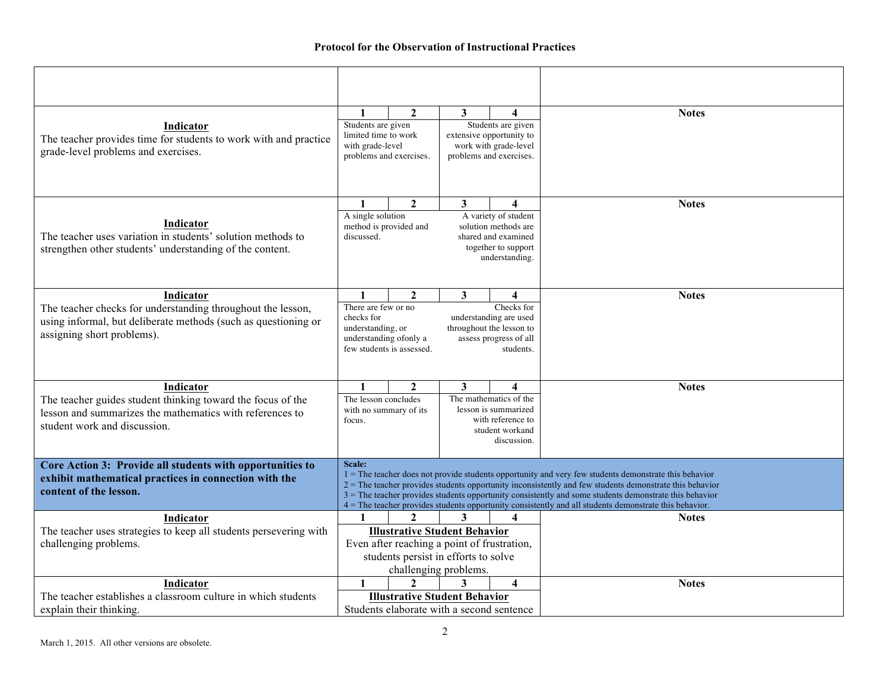| Indicator<br>The teacher provides time for students to work with and practice<br>grade-level problems and exercises.                                                     | $\mathbf{2}$<br>1<br>Students are given<br>limited time to work<br>with grade-level<br>problems and exercises.                                                                                                                                                                                                                                                                                                                                     |  | 3<br>4<br>Students are given<br>extensive opportunity to<br>work with grade-level<br>problems and exercises.                                              |              | <b>Notes</b> |  |  |  |
|--------------------------------------------------------------------------------------------------------------------------------------------------------------------------|----------------------------------------------------------------------------------------------------------------------------------------------------------------------------------------------------------------------------------------------------------------------------------------------------------------------------------------------------------------------------------------------------------------------------------------------------|--|-----------------------------------------------------------------------------------------------------------------------------------------------------------|--------------|--------------|--|--|--|
| Indicator<br>The teacher uses variation in students' solution methods to<br>strengthen other students' understanding of the content.                                     | $\overline{2}$<br>$\mathbf{1}$<br>A single solution<br>method is provided and<br>discussed.                                                                                                                                                                                                                                                                                                                                                        |  | 3 <sup>1</sup><br>$\overline{\mathbf{4}}$<br>A variety of student<br>solution methods are<br>shared and examined<br>together to support<br>understanding. |              | <b>Notes</b> |  |  |  |
| Indicator<br>The teacher checks for understanding throughout the lesson,<br>using informal, but deliberate methods (such as questioning or<br>assigning short problems). | 1<br>$\mathbf{2}$<br>3<br>There are few or no<br>checks for<br>understanding, or<br>understanding of only a<br>few students is assessed.                                                                                                                                                                                                                                                                                                           |  | 4<br>Checks for<br>understanding are used<br>throughout the lesson to<br>assess progress of all<br>students.                                              | <b>Notes</b> |              |  |  |  |
| Indicator<br>The teacher guides student thinking toward the focus of the<br>lesson and summarizes the mathematics with references to<br>student work and discussion.     | $\mathbf{2}$<br>$\mathbf{1}$<br>The lesson concludes<br>with no summary of its<br>focus.                                                                                                                                                                                                                                                                                                                                                           |  | 3<br>4<br>The mathematics of the<br>lesson is summarized<br>with reference to<br>student workand<br>discussion.                                           |              | <b>Notes</b> |  |  |  |
| Core Action 3: Provide all students with opportunities to<br>exhibit mathematical practices in connection with the<br>content of the lesson.                             | Scale:<br>$1 =$ The teacher does not provide students opportunity and very few students demonstrate this behavior<br>2 = The teacher provides students opportunity inconsistently and few students demonstrate this behavior<br>$3$ = The teacher provides students opportunity consistently and some students demonstrate this behavior<br>4 = The teacher provides students opportunity consistently and all students demonstrate this behavior. |  |                                                                                                                                                           |              |              |  |  |  |
| Indicator<br>The teacher uses strategies to keep all students persevering with<br>challenging problems.                                                                  | $\mathbf{2}$<br>3<br>4<br><b>Illustrative Student Behavior</b><br>Even after reaching a point of frustration,<br>students persist in efforts to solve<br>challenging problems.                                                                                                                                                                                                                                                                     |  |                                                                                                                                                           |              | <b>Notes</b> |  |  |  |
| <b>Indicator</b><br>The teacher establishes a classroom culture in which students<br>explain their thinking.                                                             | $\mathbf{1}$<br>$\mathbf{2}$<br>$\overline{\mathbf{4}}$<br><b>Illustrative Student Behavior</b><br>Students elaborate with a second sentence                                                                                                                                                                                                                                                                                                       |  |                                                                                                                                                           |              | <b>Notes</b> |  |  |  |